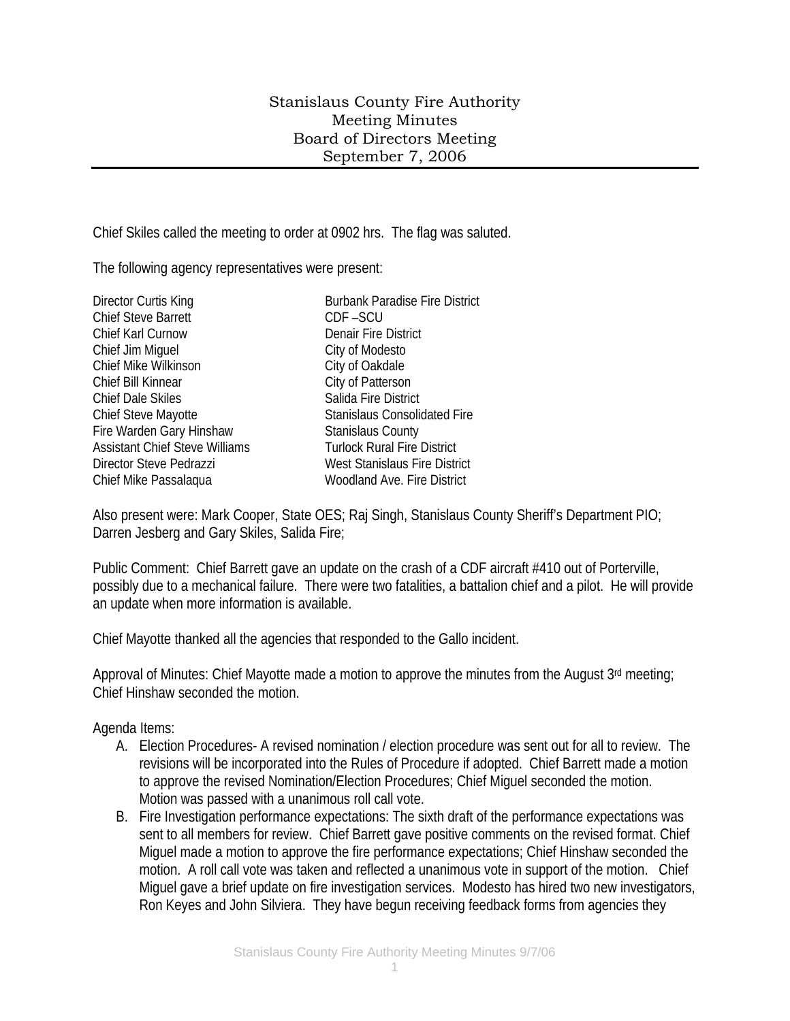## Stanislaus County Fire Authority Meeting Minutes Board of Directors Meeting September 7, 2006

Chief Skiles called the meeting to order at 0902 hrs. The flag was saluted.

The following agency representatives were present:

| Director Curtis King<br><b>Chief Steve Barrett</b> | <b>Burbank Paradise Fire District</b><br>CDF-SCU |
|----------------------------------------------------|--------------------------------------------------|
| Chief Karl Curnow                                  | Denair Fire District                             |
| Chief Jim Miguel                                   | City of Modesto                                  |
| Chief Mike Wilkinson                               | City of Oakdale                                  |
| Chief Bill Kinnear                                 | City of Patterson                                |
| <b>Chief Dale Skiles</b>                           | Salida Fire District                             |
| Chief Steve Mayotte                                | <b>Stanislaus Consolidated Fire</b>              |
| Fire Warden Gary Hinshaw                           | <b>Stanislaus County</b>                         |
| <b>Assistant Chief Steve Williams</b>              | <b>Turlock Rural Fire District</b>               |
| Director Steve Pedrazzi                            | West Stanislaus Fire District                    |
| Chief Mike Passalaqua                              | Woodland Ave. Fire District                      |
|                                                    |                                                  |

Also present were: Mark Cooper, State OES; Raj Singh, Stanislaus County Sheriff's Department PIO; Darren Jesberg and Gary Skiles, Salida Fire;

Public Comment: Chief Barrett gave an update on the crash of a CDF aircraft #410 out of Porterville, possibly due to a mechanical failure. There were two fatalities, a battalion chief and a pilot. He will provide an update when more information is available.

Chief Mayotte thanked all the agencies that responded to the Gallo incident.

Approval of Minutes: Chief Mayotte made a motion to approve the minutes from the August 3<sup>rd</sup> meeting; Chief Hinshaw seconded the motion.

Agenda Items:

- A. Election Procedures- A revised nomination / election procedure was sent out for all to review. The revisions will be incorporated into the Rules of Procedure if adopted. Chief Barrett made a motion to approve the revised Nomination/Election Procedures; Chief Miguel seconded the motion. Motion was passed with a unanimous roll call vote.
- B. Fire Investigation performance expectations: The sixth draft of the performance expectations was sent to all members for review. Chief Barrett gave positive comments on the revised format. Chief Miguel made a motion to approve the fire performance expectations; Chief Hinshaw seconded the motion. A roll call vote was taken and reflected a unanimous vote in support of the motion. Chief Miguel gave a brief update on fire investigation services. Modesto has hired two new investigators, Ron Keyes and John Silviera. They have begun receiving feedback forms from agencies they